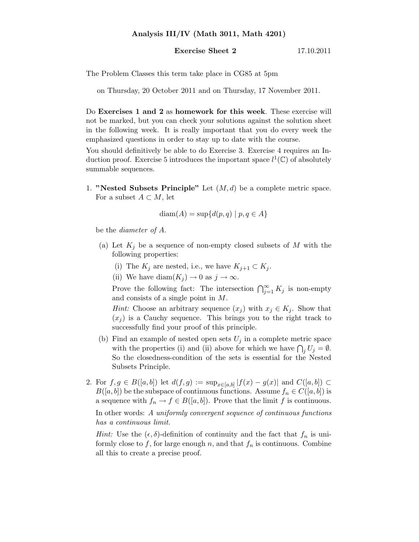## Analysis III/IV (Math 3011, Math 4201)

## **Exercise Sheet 2** 17.10.2011

The Problem Classes this term take place in CG85 at 5pm

on Thursday, 20 October 2011 and on Thursday, 17 November 2011.

Do Exercises 1 and 2 as homework for this week. These exercise will not be marked, but you can check your solutions against the solution sheet in the following week. It is really important that you do every week the emphasized questions in order to stay up to date with the course.

You should definitively be able to do Exercise 3. Exercise 4 requires an Induction proof. Exercise 5 introduces the important space  $l^1(\mathbb{C})$  of absolutely summable sequences.

1. "Nested Subsets Principle" Let  $(M, d)$  be a complete metric space. For a subset  $A \subset M$ , let

$$
diam(A) = sup{d(p, q) | p, q \in A}
$$

be the *diameter of* A.

- (a) Let  $K_j$  be a sequence of non-empty closed subsets of M with the following properties:
	- (i) The  $K_j$  are nested, i.e., we have  $K_{j+1} \subset K_j$ .
	- (ii) We have diam $(K_i) \to 0$  as  $j \to \infty$ .

Prove the following fact: The intersection  $\bigcap_{j=1}^{\infty} K_j$  is non-empty and consists of a single point in M.

*Hint:* Choose an arbitrary sequence  $(x_i)$  with  $x_i \in K_i$ . Show that  $(x_i)$  is a Cauchy sequence. This brings you to the right track to successfully find your proof of this principle.

- (b) Find an example of nested open sets  $U_j$  in a complete metric space with the properties (i) and (ii) above for which we have  $\bigcap_j U_j = \emptyset$ . So the closedness-condition of the sets is essential for the Nested Subsets Principle.
- 2. For  $f, g \in B([a, b])$  let  $d(f, g) := \sup_{x \in [a, b]} |f(x) g(x)|$  and  $C([a, b]) \subset$  $B([a, b])$  be the subspace of continuous functions. Assume  $f_n \in C([a, b])$  is a sequence with  $f_n \to f \in B([a, b])$ . Prove that the limit f is continuous.

In other words: *A uniformly convergent sequence of continuous functions has a continuous limit.*

*Hint:* Use the  $(\epsilon, \delta)$ -definition of continuity and the fact that  $f_n$  is uniformly close to f, for large enough n, and that  $f_n$  is continuous. Combine all this to create a precise proof.